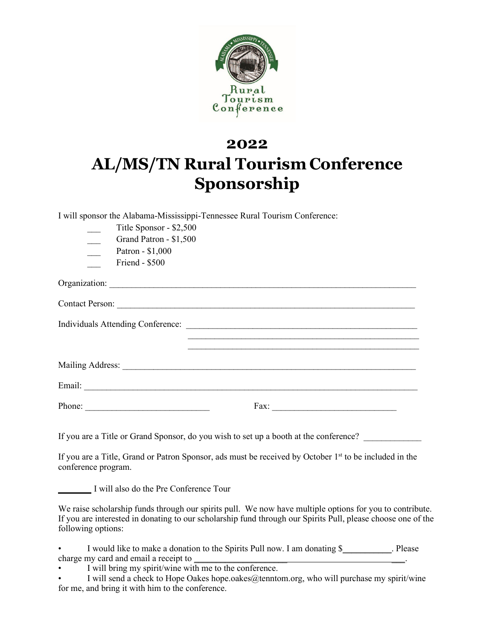

## **2022 AL/MS/TN Rural Tourism Conference Sponsorship**

I will sponsor the Alabama-Mississippi-Tennessee Rural Tourism Conference:

| Title Sponsor - \$2,500                                                                                                                                                                                                                                                                                                                                                                                      |                                                                                                                    |
|--------------------------------------------------------------------------------------------------------------------------------------------------------------------------------------------------------------------------------------------------------------------------------------------------------------------------------------------------------------------------------------------------------------|--------------------------------------------------------------------------------------------------------------------|
| Grand Patron - \$1,500                                                                                                                                                                                                                                                                                                                                                                                       |                                                                                                                    |
| Patron - \$1,000<br>$\overline{\phantom{0}}$                                                                                                                                                                                                                                                                                                                                                                 |                                                                                                                    |
| Friend - \$500                                                                                                                                                                                                                                                                                                                                                                                               |                                                                                                                    |
|                                                                                                                                                                                                                                                                                                                                                                                                              |                                                                                                                    |
|                                                                                                                                                                                                                                                                                                                                                                                                              |                                                                                                                    |
|                                                                                                                                                                                                                                                                                                                                                                                                              |                                                                                                                    |
|                                                                                                                                                                                                                                                                                                                                                                                                              |                                                                                                                    |
|                                                                                                                                                                                                                                                                                                                                                                                                              |                                                                                                                    |
|                                                                                                                                                                                                                                                                                                                                                                                                              |                                                                                                                    |
| Phone: $\frac{1}{\sqrt{1-\frac{1}{2}}\sqrt{1-\frac{1}{2}}\sqrt{1-\frac{1}{2}}\sqrt{1-\frac{1}{2}}\sqrt{1-\frac{1}{2}}\sqrt{1-\frac{1}{2}}\sqrt{1-\frac{1}{2}}\sqrt{1-\frac{1}{2}}\sqrt{1-\frac{1}{2}}\sqrt{1-\frac{1}{2}}\sqrt{1-\frac{1}{2}}\sqrt{1-\frac{1}{2}}\sqrt{1-\frac{1}{2}}\sqrt{1-\frac{1}{2}}\sqrt{1-\frac{1}{2}}\sqrt{1-\frac{1}{2}}\sqrt{1-\frac{1}{2}}\sqrt{1-\frac{1}{2}}\sqrt{1-\frac{1}{2$ |                                                                                                                    |
|                                                                                                                                                                                                                                                                                                                                                                                                              | If you are a Title or Grand Sponsor, do you wish to set up a booth at the conference?                              |
|                                                                                                                                                                                                                                                                                                                                                                                                              | If you are a Title, Grand or Patron Sponsor, ads must be received by October 1 <sup>st</sup> to be included in the |

conference program.

I will also do the Pre Conference Tour

We raise scholarship funds through our spirits pull. We now have multiple options for you to contribute. If you are interested in donating to our scholarship fund through our Spirits Pull, please choose one of the following options:

I would like to make a donation to the Spirits Pull now. I am donating \$ charge my card and email a receipt to

I will bring my spirit/wine with me to the conference.

I will send a check to Hope Oakes [hope.oakes@tenntom.org,](mailto:hope.oakes@tenntom.org) who will purchase my spirit/wine for me, and bring it with him to the conference.